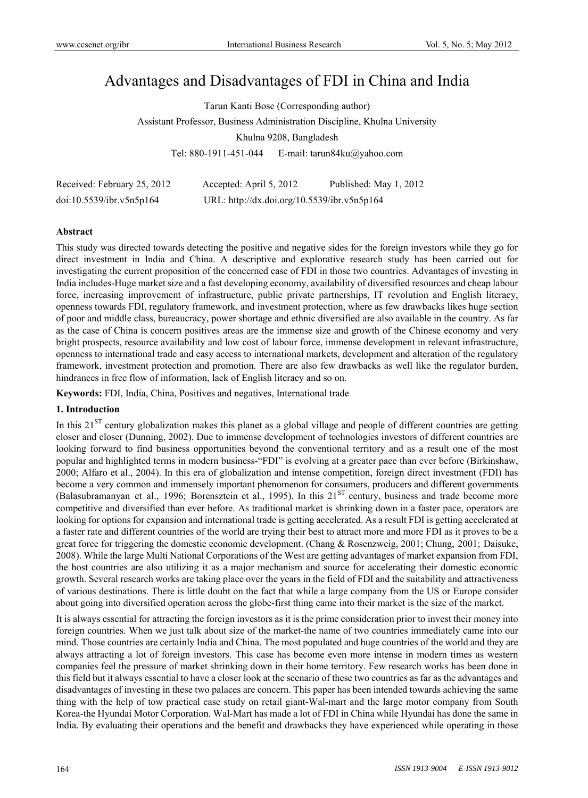# Advantages and Disadvantages of FDI in China and India

Tarun Kanti Bose (Corresponding author) Assistant Professor, Business Administration Discipline, Khulna University Khulna 9208, Bangladesh Tel: 880-1911-451-044 E-mail: tarun84ku@yahoo.com

| Received: February 25, 2012 | Accepted: April 5, 2012                     | Published: May 1, 2012 |
|-----------------------------|---------------------------------------------|------------------------|
| doi:10.5539/ibr.v5n5p164    | URL: http://dx.doi.org/10.5539/ibr.v5n5p164 |                        |

#### **Abstract**

This study was directed towards detecting the positive and negative sides for the foreign investors while they go for direct investment in India and China. A descriptive and explorative research study has been carried out for investigating the current proposition of the concerned case of FDI in those two countries. Advantages of investing in India includes-Huge market size and a fast developing economy, availability of diversified resources and cheap labour force, increasing improvement of infrastructure, public private partnerships, IT revolution and English literacy, openness towards FDI, regulatory framework, and investment protection, where as few drawbacks likes huge section of poor and middle class, bureaucracy, power shortage and ethnic diversified are also available in the country. As far as the case of China is concern positives areas are the immense size and growth of the Chinese economy and very bright prospects, resource availability and low cost of labour force, immense development in relevant infrastructure, openness to international trade and easy access to international markets, development and alteration of the regulatory framework, investment protection and promotion. There are also few drawbacks as well like the regulator burden, hindrances in free flow of information, lack of English literacy and so on.

**Keywords:** FDI, India, China, Positives and negatives, International trade

#### **1. Introduction**

In this  $21<sup>ST</sup>$  century globalization makes this planet as a global village and people of different countries are getting closer and closer (Dunning, 2002). Due to immense development of technologies investors of different countries are looking forward to find business opportunities beyond the conventional territory and as a result one of the most popular and highlighted terms in modern business-"FDI" is evolving at a greater pace than ever before (Birkinshaw, 2000; Alfaro et al., 2004). In this era of globalization and intense competition, foreign direct investment (FDI) has become a very common and immensely important phenomenon for consumers, producers and different governments (Balasubramanyan et al., 1996; Borensztein et al., 1995). In this 21<sup>ST</sup> century, business and trade become more competitive and diversified than ever before. As traditional market is shrinking down in a faster pace, operators are looking for options for expansion and international trade is getting accelerated. As a result FDI is getting accelerated at a faster rate and different countries of the world are trying their best to attract more and more FDI as it proves to be a great force for triggering the domestic economic development. (Chang & Rosenzweig, 2001; Chung, 2001; Daisuke, 2008). While the large Multi National Corporations of the West are getting advantages of market expansion from FDI, the host countries are also utilizing it as a major mechanism and source for accelerating their domestic economic growth. Several research works are taking place over the years in the field of FDI and the suitability and attractiveness of various destinations. There is little doubt on the fact that while a large company from the US or Europe consider about going into diversified operation across the globe-first thing came into their market is the size of the market.

It is always essential for attracting the foreign investors as it is the prime consideration prior to invest their money into foreign countries. When we just talk about size of the market-the name of two countries immediately came into our mind. Those countries are certainly India and China. The most populated and huge countries of the world and they are always attracting a lot of foreign investors. This case has become even more intense in modern times as western companies feel the pressure of market shrinking down in their home territory. Few research works has been done in this field but it always essential to have a closer look at the scenario of these two countries as far as the advantages and disadvantages of investing in these two palaces are concern. This paper has been intended towards achieving the same thing with the help of tow practical case study on retail giant-Wal-mart and the large motor company from South Korea-the Hyundai Motor Corporation. Wal-Mart has made a lot of FDI in China while Hyundai has done the same in India. By evaluating their operations and the benefit and drawbacks they have experienced while operating in those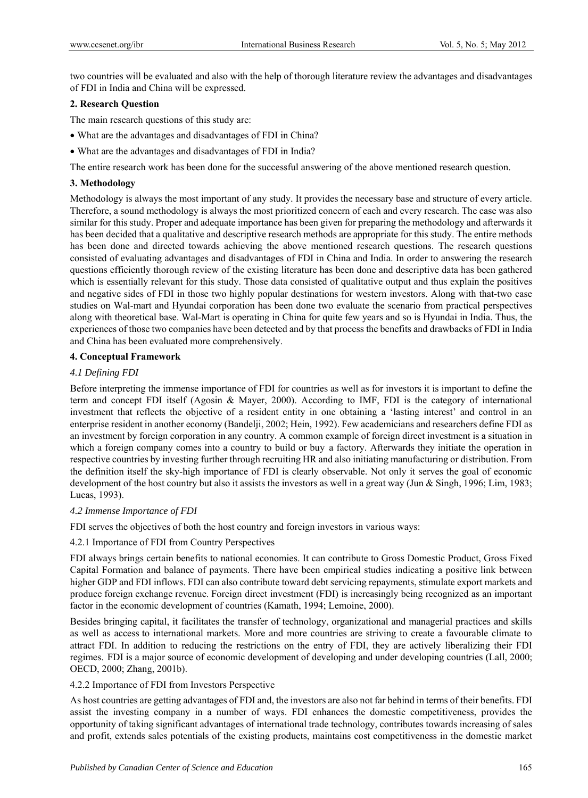two countries will be evaluated and also with the help of thorough literature review the advantages and disadvantages of FDI in India and China will be expressed.

## **2. Research Question**

The main research questions of this study are:

- What are the advantages and disadvantages of FDI in China?
- What are the advantages and disadvantages of FDI in India?

The entire research work has been done for the successful answering of the above mentioned research question.

# **3. Methodology**

Methodology is always the most important of any study. It provides the necessary base and structure of every article. Therefore, a sound methodology is always the most prioritized concern of each and every research. The case was also similar for this study. Proper and adequate importance has been given for preparing the methodology and afterwards it has been decided that a qualitative and descriptive research methods are appropriate for this study. The entire methods has been done and directed towards achieving the above mentioned research questions. The research questions consisted of evaluating advantages and disadvantages of FDI in China and India. In order to answering the research questions efficiently thorough review of the existing literature has been done and descriptive data has been gathered which is essentially relevant for this study. Those data consisted of qualitative output and thus explain the positives and negative sides of FDI in those two highly popular destinations for western investors. Along with that-two case studies on Wal-mart and Hyundai corporation has been done two evaluate the scenario from practical perspectives along with theoretical base. Wal-Mart is operating in China for quite few years and so is Hyundai in India. Thus, the experiences of those two companies have been detected and by that process the benefits and drawbacks of FDI in India and China has been evaluated more comprehensively.

# **4. Conceptual Framework**

# *4.1 Defining FDI*

Before interpreting the immense importance of FDI for countries as well as for investors it is important to define the term and concept FDI itself (Agosin & Mayer, 2000). According to IMF, FDI is the category of international investment that reflects the objective of a resident entity in one obtaining a 'lasting interest' and control in an enterprise resident in another economy (Bandelji, 2002; Hein, 1992). Few academicians and researchers define FDI as an investment by foreign corporation in any country. A common example of foreign direct investment is a situation in which a foreign company comes into a country to build or buy a factory. Afterwards they initiate the operation in respective countries by investing further through recruiting HR and also initiating manufacturing or distribution. From the definition itself the sky-high importance of FDI is clearly observable. Not only it serves the goal of economic development of the host country but also it assists the investors as well in a great way (Jun & Singh, 1996; Lim, 1983; Lucas, 1993).

## *4.2 Immense Importance of FDI*

FDI serves the objectives of both the host country and foreign investors in various ways:

4.2.1 Importance of FDI from Country Perspectives

FDI always brings certain benefits to national economies. It can contribute to Gross Domestic Product, Gross Fixed Capital Formation and balance of payments. There have been empirical studies indicating a positive link between higher GDP and FDI inflows. FDI can also contribute toward debt servicing repayments, stimulate export markets and produce foreign exchange revenue. Foreign direct investment (FDI) is increasingly being recognized as an important factor in the economic development of countries (Kamath, 1994; Lemoine, 2000).

Besides bringing capital, it facilitates the transfer of technology, organizational and managerial practices and skills as well as access to international markets. More and more countries are striving to create a favourable climate to attract FDI. In addition to reducing the restrictions on the entry of FDI, they are actively liberalizing their FDI regimes. FDI is a major source of economic development of developing and under developing countries (Lall, 2000; OECD, 2000; Zhang, 2001b).

# 4.2.2 Importance of FDI from Investors Perspective

As host countries are getting advantages of FDI and, the investors are also not far behind in terms of their benefits. FDI assist the investing company in a number of ways. FDI enhances the domestic competitiveness, provides the opportunity of taking significant advantages of international trade technology, contributes towards increasing of sales and profit, extends sales potentials of the existing products, maintains cost competitiveness in the domestic market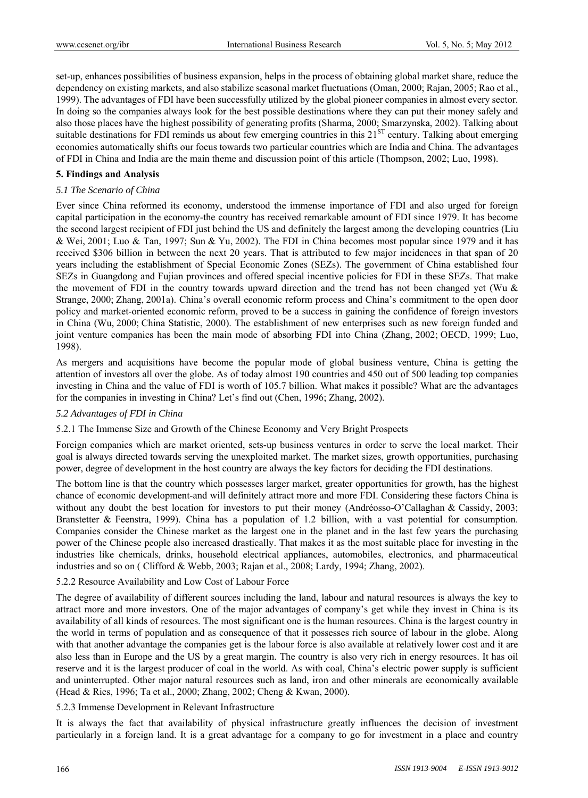set-up, enhances possibilities of business expansion, helps in the process of obtaining global market share, reduce the dependency on existing markets, and also stabilize seasonal market fluctuations (Oman, 2000; Rajan, 2005; Rao et al., 1999). The advantages of FDI have been successfully utilized by the global pioneer companies in almost every sector. In doing so the companies always look for the best possible destinations where they can put their money safely and also those places have the highest possibility of generating profits (Sharma, 2000; Smarzynska, 2002). Talking about suitable destinations for FDI reminds us about few emerging countries in this  $21<sup>ST</sup>$  century. Talking about emerging economies automatically shifts our focus towards two particular countries which are India and China. The advantages of FDI in China and India are the main theme and discussion point of this article (Thompson, 2002; Luo, 1998).

#### **5. Findings and Analysis**

#### *5.1 The Scenario of China*

Ever since China reformed its economy, understood the immense importance of FDI and also urged for foreign capital participation in the economy-the country has received remarkable amount of FDI since 1979. It has become the second largest recipient of FDI just behind the US and definitely the largest among the developing countries (Liu & Wei, 2001; Luo & Tan, 1997; Sun & Yu, 2002). The FDI in China becomes most popular since 1979 and it has received \$306 billion in between the next 20 years. That is attributed to few major incidences in that span of 20 years including the establishment of Special Economic Zones (SEZs). The government of China established four SEZs in Guangdong and Fujian provinces and offered special incentive policies for FDI in these SEZs. That make the movement of FDI in the country towards upward direction and the trend has not been changed yet (Wu & Strange, 2000; Zhang, 2001a). China's overall economic reform process and China's commitment to the open door policy and market-oriented economic reform, proved to be a success in gaining the confidence of foreign investors in China (Wu, 2000; China Statistic, 2000). The establishment of new enterprises such as new foreign funded and joint venture companies has been the main mode of absorbing FDI into China (Zhang, 2002; OECD, 1999; Luo, 1998).

As mergers and acquisitions have become the popular mode of global business venture, China is getting the attention of investors all over the globe. As of today almost 190 countries and 450 out of 500 leading top companies investing in China and the value of FDI is worth of 105.7 billion. What makes it possible? What are the advantages for the companies in investing in China? Let's find out (Chen, 1996; Zhang, 2002).

#### *5.2 Advantages of FDI in China*

5.2.1 The Immense Size and Growth of the Chinese Economy and Very Bright Prospects

Foreign companies which are market oriented, sets-up business ventures in order to serve the local market. Their goal is always directed towards serving the unexploited market. The market sizes, growth opportunities, purchasing power, degree of development in the host country are always the key factors for deciding the FDI destinations.

The bottom line is that the country which possesses larger market, greater opportunities for growth, has the highest chance of economic development-and will definitely attract more and more FDI. Considering these factors China is without any doubt the best location for investors to put their money (Andréosso-O'Callaghan & Cassidy, 2003; Branstetter & Feenstra, 1999). China has a population of 1.2 billion, with a vast potential for consumption. Companies consider the Chinese market as the largest one in the planet and in the last few years the purchasing power of the Chinese people also increased drastically. That makes it as the most suitable place for investing in the industries like chemicals, drinks, household electrical appliances, automobiles, electronics, and pharmaceutical industries and so on ( Clifford & Webb, 2003; Rajan et al., 2008; Lardy, 1994; Zhang, 2002).

#### 5.2.2 Resource Availability and Low Cost of Labour Force

The degree of availability of different sources including the land, labour and natural resources is always the key to attract more and more investors. One of the major advantages of company's get while they invest in China is its availability of all kinds of resources. The most significant one is the human resources. China is the largest country in the world in terms of population and as consequence of that it possesses rich source of labour in the globe. Along with that another advantage the companies get is the labour force is also available at relatively lower cost and it are also less than in Europe and the US by a great margin. The country is also very rich in energy resources. It has oil reserve and it is the largest producer of coal in the world. As with coal, China's electric power supply is sufficient and uninterrupted. Other major natural resources such as land, iron and other minerals are economically available (Head & Ries, 1996; Ta et al., 2000; Zhang, 2002; Cheng & Kwan, 2000).

## 5.2.3 Immense Development in Relevant Infrastructure

It is always the fact that availability of physical infrastructure greatly influences the decision of investment particularly in a foreign land. It is a great advantage for a company to go for investment in a place and country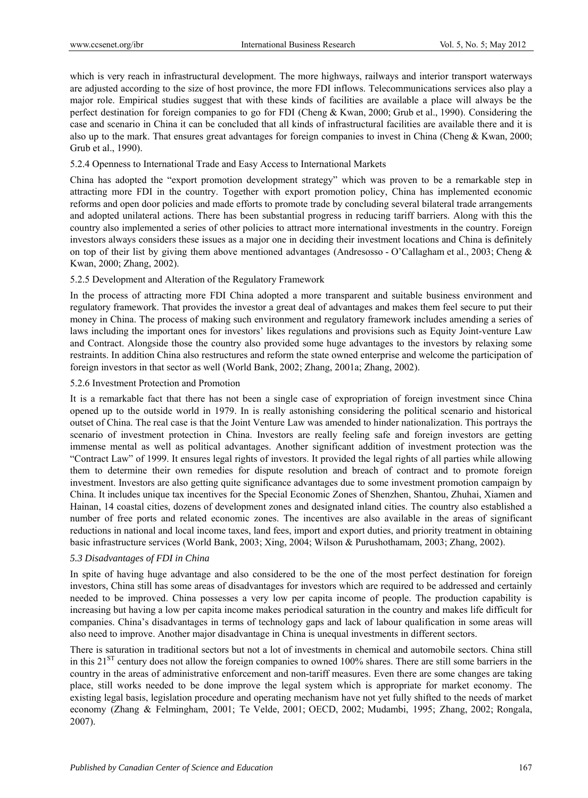which is very reach in infrastructural development. The more highways, railways and interior transport waterways are adjusted according to the size of host province, the more FDI inflows. Telecommunications services also play a major role. Empirical studies suggest that with these kinds of facilities are available a place will always be the perfect destination for foreign companies to go for FDI (Cheng & Kwan, 2000; Grub et al., 1990). Considering the case and scenario in China it can be concluded that all kinds of infrastructural facilities are available there and it is also up to the mark. That ensures great advantages for foreign companies to invest in China (Cheng & Kwan, 2000; Grub et al., 1990).

5.2.4 Openness to International Trade and Easy Access to International Markets

China has adopted the "export promotion development strategy" which was proven to be a remarkable step in attracting more FDI in the country. Together with export promotion policy, China has implemented economic reforms and open door policies and made efforts to promote trade by concluding several bilateral trade arrangements and adopted unilateral actions. There has been substantial progress in reducing tariff barriers. Along with this the country also implemented a series of other policies to attract more international investments in the country. Foreign investors always considers these issues as a major one in deciding their investment locations and China is definitely on top of their list by giving them above mentioned advantages (Andresosso - O'Callagham et al., 2003; Cheng & Kwan, 2000; Zhang, 2002).

## 5.2.5 Development and Alteration of the Regulatory Framework

In the process of attracting more FDI China adopted a more transparent and suitable business environment and regulatory framework. That provides the investor a great deal of advantages and makes them feel secure to put their money in China. The process of making such environment and regulatory framework includes amending a series of laws including the important ones for investors' likes regulations and provisions such as Equity Joint-venture Law and Contract. Alongside those the country also provided some huge advantages to the investors by relaxing some restraints. In addition China also restructures and reform the state owned enterprise and welcome the participation of foreign investors in that sector as well (World Bank, 2002; Zhang, 2001a; Zhang, 2002).

## 5.2.6 Investment Protection and Promotion

It is a remarkable fact that there has not been a single case of expropriation of foreign investment since China opened up to the outside world in 1979. In is really astonishing considering the political scenario and historical outset of China. The real case is that the Joint Venture Law was amended to hinder nationalization. This portrays the scenario of investment protection in China. Investors are really feeling safe and foreign investors are getting immense mental as well as political advantages. Another significant addition of investment protection was the "Contract Law" of 1999. It ensures legal rights of investors. It provided the legal rights of all parties while allowing them to determine their own remedies for dispute resolution and breach of contract and to promote foreign investment. Investors are also getting quite significance advantages due to some investment promotion campaign by China. It includes unique tax incentives for the Special Economic Zones of Shenzhen, Shantou, Zhuhai, Xiamen and Hainan, 14 coastal cities, dozens of development zones and designated inland cities. The country also established a number of free ports and related economic zones. The incentives are also available in the areas of significant reductions in national and local income taxes, land fees, import and export duties, and priority treatment in obtaining basic infrastructure services (World Bank, 2003; Xing, 2004; Wilson & Purushothamam, 2003; Zhang, 2002).

## *5.3 Disadvantages of FDI in China*

In spite of having huge advantage and also considered to be the one of the most perfect destination for foreign investors, China still has some areas of disadvantages for investors which are required to be addressed and certainly needed to be improved. China possesses a very low per capita income of people. The production capability is increasing but having a low per capita income makes periodical saturation in the country and makes life difficult for companies. China's disadvantages in terms of technology gaps and lack of labour qualification in some areas will also need to improve. Another major disadvantage in China is unequal investments in different sectors.

There is saturation in traditional sectors but not a lot of investments in chemical and automobile sectors. China still in this  $21<sup>ST</sup>$  century does not allow the foreign companies to owned 100% shares. There are still some barriers in the country in the areas of administrative enforcement and non-tariff measures. Even there are some changes are taking place, still works needed to be done improve the legal system which is appropriate for market economy. The existing legal basis, legislation procedure and operating mechanism have not yet fully shifted to the needs of market economy (Zhang & Felmingham, 2001; Te Velde, 2001; OECD, 2002; Mudambi, 1995; Zhang, 2002; Rongala, 2007).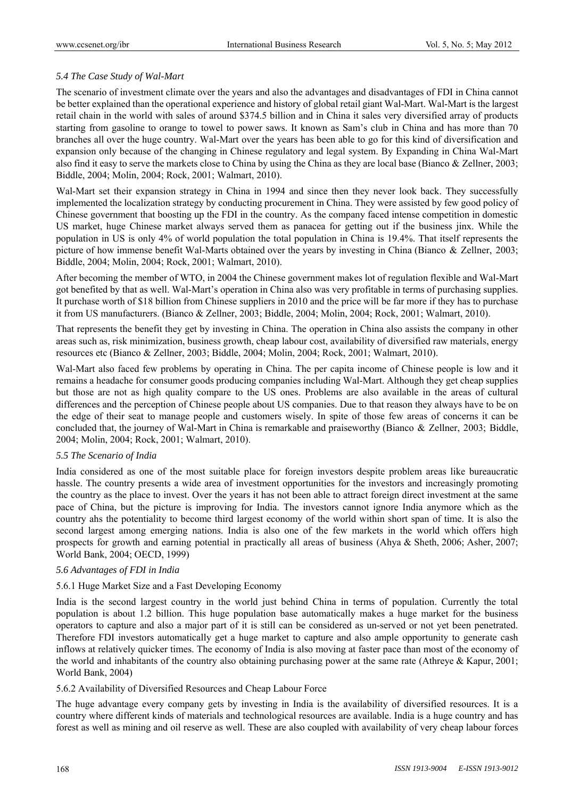## *5.4 The Case Study of Wal-Mart*

The scenario of investment climate over the years and also the advantages and disadvantages of FDI in China cannot be better explained than the operational experience and history of global retail giant Wal-Mart. Wal-Mart is the largest retail chain in the world with sales of around \$374.5 billion and in China it sales very diversified array of products starting from gasoline to orange to towel to power saws. It known as Sam's club in China and has more than 70 branches all over the huge country. Wal-Mart over the years has been able to go for this kind of diversification and expansion only because of the changing in Chinese regulatory and legal system. By Expanding in China Wal-Mart also find it easy to serve the markets close to China by using the China as they are local base (Bianco & Zellner, 2003; Biddle, 2004; Molin, 2004; Rock, 2001; Walmart, 2010).

Wal-Mart set their expansion strategy in China in 1994 and since then they never look back. They successfully implemented the localization strategy by conducting procurement in China. They were assisted by few good policy of Chinese government that boosting up the FDI in the country. As the company faced intense competition in domestic US market, huge Chinese market always served them as panacea for getting out if the business jinx. While the population in US is only 4% of world population the total population in China is 19.4%. That itself represents the picture of how immense benefit Wal-Marts obtained over the years by investing in China (Bianco & Zellner, 2003; Biddle, 2004; Molin, 2004; Rock, 2001; Walmart, 2010).

After becoming the member of WTO, in 2004 the Chinese government makes lot of regulation flexible and Wal-Mart got benefited by that as well. Wal-Mart's operation in China also was very profitable in terms of purchasing supplies. It purchase worth of \$18 billion from Chinese suppliers in 2010 and the price will be far more if they has to purchase it from US manufacturers. (Bianco & Zellner, 2003; Biddle, 2004; Molin, 2004; Rock, 2001; Walmart, 2010).

That represents the benefit they get by investing in China. The operation in China also assists the company in other areas such as, risk minimization, business growth, cheap labour cost, availability of diversified raw materials, energy resources etc (Bianco & Zellner, 2003; Biddle, 2004; Molin, 2004; Rock, 2001; Walmart, 2010).

Wal-Mart also faced few problems by operating in China. The per capita income of Chinese people is low and it remains a headache for consumer goods producing companies including Wal-Mart. Although they get cheap supplies but those are not as high quality compare to the US ones. Problems are also available in the areas of cultural differences and the perception of Chinese people about US companies. Due to that reason they always have to be on the edge of their seat to manage people and customers wisely. In spite of those few areas of concerns it can be concluded that, the journey of Wal-Mart in China is remarkable and praiseworthy (Bianco & Zellner, 2003; Biddle, 2004; Molin, 2004; Rock, 2001; Walmart, 2010).

## *5.5 The Scenario of India*

India considered as one of the most suitable place for foreign investors despite problem areas like bureaucratic hassle. The country presents a wide area of investment opportunities for the investors and increasingly promoting the country as the place to invest. Over the years it has not been able to attract foreign direct investment at the same pace of China, but the picture is improving for India. The investors cannot ignore India anymore which as the country ahs the potentiality to become third largest economy of the world within short span of time. It is also the second largest among emerging nations. India is also one of the few markets in the world which offers high prospects for growth and earning potential in practically all areas of business (Ahya & Sheth, 2006; Asher, 2007; World Bank, 2004; OECD, 1999)

## *5.6 Advantages of FDI in India*

# 5.6.1 Huge Market Size and a Fast Developing Economy

India is the second largest country in the world just behind China in terms of population. Currently the total population is about 1.2 billion. This huge population base automatically makes a huge market for the business operators to capture and also a major part of it is still can be considered as un-served or not yet been penetrated. Therefore FDI investors automatically get a huge market to capture and also ample opportunity to generate cash inflows at relatively quicker times. The economy of India is also moving at faster pace than most of the economy of the world and inhabitants of the country also obtaining purchasing power at the same rate (Athreye & Kapur, 2001; World Bank, 2004)

## 5.6.2 Availability of Diversified Resources and Cheap Labour Force

The huge advantage every company gets by investing in India is the availability of diversified resources. It is a country where different kinds of materials and technological resources are available. India is a huge country and has forest as well as mining and oil reserve as well. These are also coupled with availability of very cheap labour forces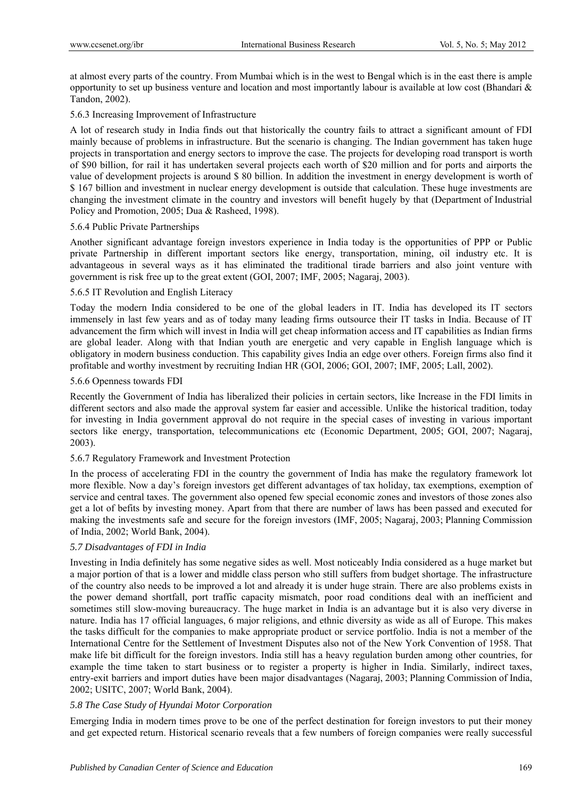at almost every parts of the country. From Mumbai which is in the west to Bengal which is in the east there is ample opportunity to set up business venture and location and most importantly labour is available at low cost (Bhandari & Tandon, 2002).

# 5.6.3 Increasing Improvement of Infrastructure

A lot of research study in India finds out that historically the country fails to attract a significant amount of FDI mainly because of problems in infrastructure. But the scenario is changing. The Indian government has taken huge projects in transportation and energy sectors to improve the case. The projects for developing road transport is worth of \$90 billion, for rail it has undertaken several projects each worth of \$20 million and for ports and airports the value of development projects is around \$ 80 billion. In addition the investment in energy development is worth of \$ 167 billion and investment in nuclear energy development is outside that calculation. These huge investments are changing the investment climate in the country and investors will benefit hugely by that (Department of Industrial Policy and Promotion, 2005; Dua & Rasheed, 1998).

## 5.6.4 Public Private Partnerships

Another significant advantage foreign investors experience in India today is the opportunities of PPP or Public private Partnership in different important sectors like energy, transportation, mining, oil industry etc. It is advantageous in several ways as it has eliminated the traditional tirade barriers and also joint venture with government is risk free up to the great extent (GOI, 2007; IMF, 2005; Nagaraj, 2003).

# 5.6.5 IT Revolution and English Literacy

Today the modern India considered to be one of the global leaders in IT. India has developed its IT sectors immensely in last few years and as of today many leading firms outsource their IT tasks in India. Because of IT advancement the firm which will invest in India will get cheap information access and IT capabilities as Indian firms are global leader. Along with that Indian youth are energetic and very capable in English language which is obligatory in modern business conduction. This capability gives India an edge over others. Foreign firms also find it profitable and worthy investment by recruiting Indian HR (GOI, 2006; GOI, 2007; IMF, 2005; Lall, 2002).

# 5.6.6 Openness towards FDI

Recently the Government of India has liberalized their policies in certain sectors, like Increase in the FDI limits in different sectors and also made the approval system far easier and accessible. Unlike the historical tradition, today for investing in India government approval do not require in the special cases of investing in various important sectors like energy, transportation, telecommunications etc (Economic Department, 2005; GOI, 2007; Nagaraj, 2003).

# 5.6.7 Regulatory Framework and Investment Protection

In the process of accelerating FDI in the country the government of India has make the regulatory framework lot more flexible. Now a day's foreign investors get different advantages of tax holiday, tax exemptions, exemption of service and central taxes. The government also opened few special economic zones and investors of those zones also get a lot of befits by investing money. Apart from that there are number of laws has been passed and executed for making the investments safe and secure for the foreign investors (IMF, 2005; Nagaraj, 2003; Planning Commission of India, 2002; World Bank, 2004).

# *5.7 Disadvantages of FDI in India*

Investing in India definitely has some negative sides as well. Most noticeably India considered as a huge market but a major portion of that is a lower and middle class person who still suffers from budget shortage. The infrastructure of the country also needs to be improved a lot and already it is under huge strain. There are also problems exists in the power demand shortfall, port traffic capacity mismatch, poor road conditions deal with an inefficient and sometimes still slow-moving bureaucracy. The huge market in India is an advantage but it is also very diverse in nature. India has 17 official languages, 6 major religions, and ethnic diversity as wide as all of Europe. This makes the tasks difficult for the companies to make appropriate product or service portfolio. India is not a member of the International Centre for the Settlement of Investment Disputes also not of the New York Convention of 1958. That make life bit difficult for the foreign investors. India still has a heavy regulation burden among other countries, for example the time taken to start business or to register a property is higher in India. Similarly, indirect taxes, entry-exit barriers and import duties have been major disadvantages (Nagaraj, 2003; Planning Commission of India, 2002; USITC, 2007; World Bank, 2004).

# *5.8 The Case Study of Hyundai Motor Corporation*

Emerging India in modern times prove to be one of the perfect destination for foreign investors to put their money and get expected return. Historical scenario reveals that a few numbers of foreign companies were really successful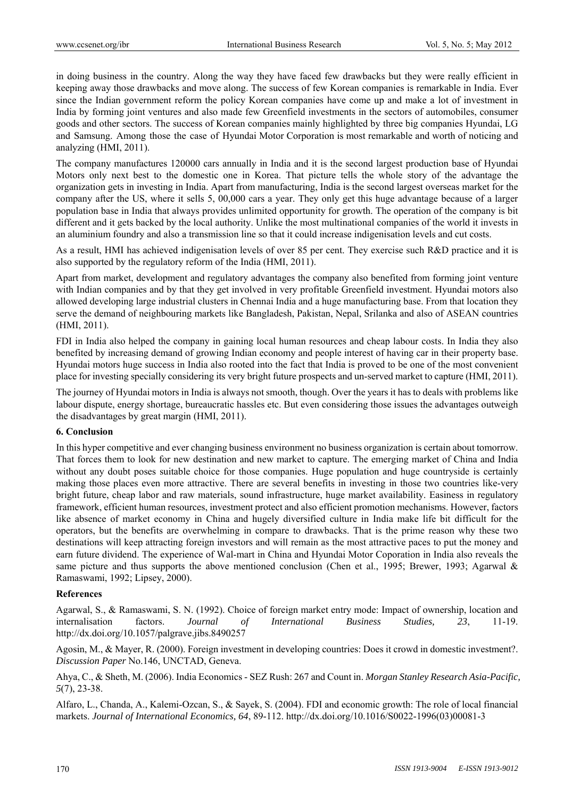in doing business in the country. Along the way they have faced few drawbacks but they were really efficient in keeping away those drawbacks and move along. The success of few Korean companies is remarkable in India. Ever since the Indian government reform the policy Korean companies have come up and make a lot of investment in India by forming joint ventures and also made few Greenfield investments in the sectors of automobiles, consumer goods and other sectors. The success of Korean companies mainly highlighted by three big companies Hyundai, LG and Samsung. Among those the case of Hyundai Motor Corporation is most remarkable and worth of noticing and analyzing (HMI, 2011).

The company manufactures 120000 cars annually in India and it is the second largest production base of Hyundai Motors only next best to the domestic one in Korea. That picture tells the whole story of the advantage the organization gets in investing in India. Apart from manufacturing, India is the second largest overseas market for the company after the US, where it sells 5, 00,000 cars a year. They only get this huge advantage because of a larger population base in India that always provides unlimited opportunity for growth. The operation of the company is bit different and it gets backed by the local authority. Unlike the most multinational companies of the world it invests in an aluminium foundry and also a transmission line so that it could increase indigenisation levels and cut costs.

As a result, HMI has achieved indigenisation levels of over 85 per cent. They exercise such R&D practice and it is also supported by the regulatory reform of the India (HMI, 2011).

Apart from market, development and regulatory advantages the company also benefited from forming joint venture with Indian companies and by that they get involved in very profitable Greenfield investment. Hyundai motors also allowed developing large industrial clusters in Chennai India and a huge manufacturing base. From that location they serve the demand of neighbouring markets like Bangladesh, Pakistan, Nepal, Srilanka and also of ASEAN countries (HMI, 2011).

FDI in India also helped the company in gaining local human resources and cheap labour costs. In India they also benefited by increasing demand of growing Indian economy and people interest of having car in their property base. Hyundai motors huge success in India also rooted into the fact that India is proved to be one of the most convenient place for investing specially considering its very bright future prospects and un-served market to capture (HMI, 2011).

The journey of Hyundai motors in India is always not smooth, though. Over the years it has to deals with problems like labour dispute, energy shortage, bureaucratic hassles etc. But even considering those issues the advantages outweigh the disadvantages by great margin (HMI, 2011).

## **6. Conclusion**

In this hyper competitive and ever changing business environment no business organization is certain about tomorrow. That forces them to look for new destination and new market to capture. The emerging market of China and India without any doubt poses suitable choice for those companies. Huge population and huge countryside is certainly making those places even more attractive. There are several benefits in investing in those two countries like-very bright future, cheap labor and raw materials, sound infrastructure, huge market availability. Easiness in regulatory framework, efficient human resources, investment protect and also efficient promotion mechanisms. However, factors like absence of market economy in China and hugely diversified culture in India make life bit difficult for the operators, but the benefits are overwhelming in compare to drawbacks. That is the prime reason why these two destinations will keep attracting foreign investors and will remain as the most attractive paces to put the money and earn future dividend. The experience of Wal-mart in China and Hyundai Motor Coporation in India also reveals the same picture and thus supports the above mentioned conclusion (Chen et al., 1995; Brewer, 1993; Agarwal  $\&$ Ramaswami, 1992; Lipsey, 2000).

## **References**

Agarwal, S., & Ramaswami, S. N. (1992). Choice of foreign market entry mode: Impact of ownership, location and internalisation factors. *Journal of International Business Studies, 23*, 11-19. http://dx.doi.org/10.1057/palgrave.jibs.8490257

Agosin, M., & Mayer, R. (2000). Foreign investment in developing countries: Does it crowd in domestic investment?. *Discussion Paper* No.146, UNCTAD, Geneva.

Ahya, C., & Sheth, M. (2006). India Economics - SEZ Rush: 267 and Count in. *Morgan Stanley Research Asia-Pacific, 5*(7), 23-38.

Alfaro, L., Chanda, A., Kalemi-Ozcan, S., & Sayek, S. (2004). FDI and economic growth: The role of local financial markets. *Journal of International Economics, 64*, 89-112. http://dx.doi.org/10.1016/S0022-1996(03)00081-3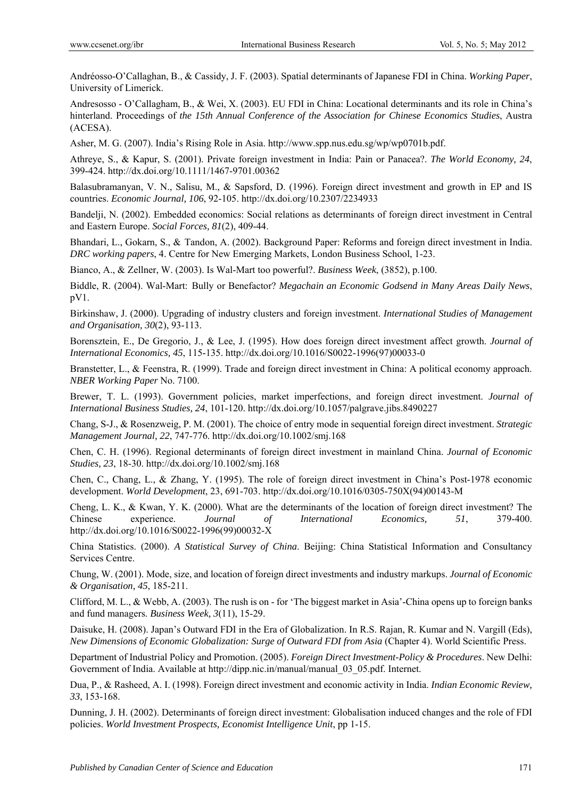Andréosso-O'Callaghan, B., & Cassidy, J. F. (2003). Spatial determinants of Japanese FDI in China. *Working Paper*, University of Limerick.

Andresosso - O'Callagham, B., & Wei, X. (2003). EU FDI in China: Locational determinants and its role in China's hinterland. Proceedings of *the 15th Annual Conference of the Association for Chinese Economics Studies*, Austra (ACESA).

Asher, M. G. (2007). India's Rising Role in Asia. http://www.spp.nus.edu.sg/wp/wp0701b.pdf.

Athreye, S., & Kapur, S. (2001). Private foreign investment in India: Pain or Panacea?. *The World Economy, 24*, 399-424. http://dx.doi.org/10.1111/1467-9701.00362

Balasubramanyan, V. N., Salisu, M., & Sapsford, D. (1996). Foreign direct investment and growth in EP and IS countries. *Economic Journal, 106*, 92-105. http://dx.doi.org/10.2307/2234933

Bandelji, N. (2002). Embedded economics: Social relations as determinants of foreign direct investment in Central and Eastern Europe. *Social Forces, 81*(2), 409-44.

Bhandari, L., Gokarn, S., & Tandon, A. (2002). Background Paper: Reforms and foreign direct investment in India. *DRC working papers*, 4. Centre for New Emerging Markets, London Business School, 1-23.

Bianco, A., & Zellner, W. (2003). Is Wal-Mart too powerful?. *Business Week*, (3852), p.100.

Biddle, R. (2004). Wal-Mart: Bully or Benefactor? *Megachain an Economic Godsend in Many Areas Daily News*, pV1.

Birkinshaw, J. (2000). Upgrading of industry clusters and foreign investment. *International Studies of Management and Organisation, 30*(2), 93-113.

Borensztein, E., De Gregorio, J., & Lee, J. (1995). How does foreign direct investment affect growth. *Journal of International Economics, 45*, 115-135. http://dx.doi.org/10.1016/S0022-1996(97)00033-0

Branstetter, L., & Feenstra, R. (1999). Trade and foreign direct investment in China: A political economy approach. *NBER Working Paper* No. 7100.

Brewer, T. L. (1993). Government policies, market imperfections, and foreign direct investment. *Journal of International Business Studies, 24*, 101-120. http://dx.doi.org/10.1057/palgrave.jibs.8490227

Chang, S-J., & Rosenzweig, P. M. (2001). The choice of entry mode in sequential foreign direct investment. *Strategic Management Journal, 22*, 747-776. http://dx.doi.org/10.1002/smj.168

Chen, C. H. (1996). Regional determinants of foreign direct investment in mainland China. *Journal of Economic Studies, 23*, 18-30. http://dx.doi.org/10.1002/smj.168

Chen, C., Chang, L., & Zhang, Y. (1995). The role of foreign direct investment in China's Post-1978 economic development. *World Development*, 23, 691-703. http://dx.doi.org/10.1016/0305-750X(94)00143-M

Cheng, L. K., & Kwan, Y. K. (2000). What are the determinants of the location of foreign direct investment? The Chinese experience. *Journal of International Economics, 51*, 379-400. http://dx.doi.org/10.1016/S0022-1996(99)00032-X

China Statistics. (2000). *A Statistical Survey of China*. Beijing: China Statistical Information and Consultancy Services Centre.

Chung, W. (2001). Mode, size, and location of foreign direct investments and industry markups. *Journal of Economic & Organisation, 45*, 185-211.

Clifford, M. L., & Webb, A. (2003). The rush is on - for 'The biggest market in Asia'-China opens up to foreign banks and fund managers. *Business Week, 3*(11), 15-29.

Daisuke, H. (2008). Japan's Outward FDI in the Era of Globalization. In R.S. Rajan, R. Kumar and N. Vargill (Eds), *New Dimensions of Economic Globalization: Surge of Outward FDI from Asia* (Chapter 4). World Scientific Press.

Department of Industrial Policy and Promotion. (2005). *Foreign Direct Investment-Policy & Procedures*. New Delhi: Government of India. Available at http://dipp.nic.in/manual/manual\_03\_05.pdf. Internet.

Dua, P., & Rasheed, A. I. (1998). Foreign direct investment and economic activity in India. *Indian Economic Review, 33*, 153-168.

Dunning, J. H. (2002). Determinants of foreign direct investment: Globalisation induced changes and the role of FDI policies. *World Investment Prospects, Economist Intelligence Unit*, pp 1-15.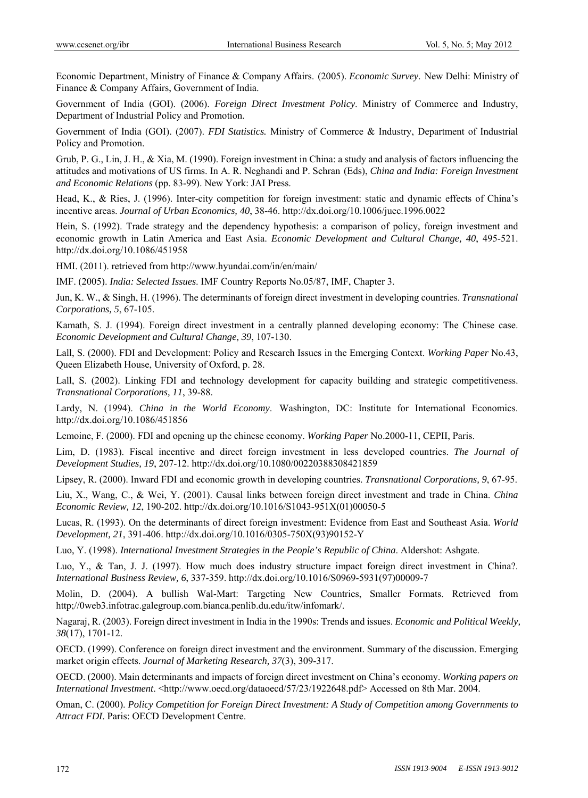Economic Department, Ministry of Finance & Company Affairs. (2005). *Economic Survey*. New Delhi: Ministry of Finance & Company Affairs, Government of India.

Government of India (GOI). (2006). *Foreign Direct Investment Policy*. Ministry of Commerce and Industry, Department of Industrial Policy and Promotion.

Government of India (GOI). (2007). *FDI Statistics.* Ministry of Commerce & Industry, Department of Industrial Policy and Promotion.

Grub, P. G., Lin, J. H., & Xia, M. (1990). Foreign investment in China: a study and analysis of factors influencing the attitudes and motivations of US firms. In A. R. Neghandi and P. Schran (Eds), *China and India: Foreign Investment and Economic Relations* (pp. 83-99). New York: JAI Press.

Head, K., & Ries, J. (1996). Inter-city competition for foreign investment: static and dynamic effects of China's incentive areas. *Journal of Urban Economics, 40*, 38-46. http://dx.doi.org/10.1006/juec.1996.0022

Hein, S. (1992). Trade strategy and the dependency hypothesis: a comparison of policy, foreign investment and economic growth in Latin America and East Asia. *Economic Development and Cultural Change, 40*, 495-521. http://dx.doi.org/10.1086/451958

HMI. (2011). retrieved from http://www.hyundai.com/in/en/main/

IMF. (2005). *India: Selected Issues*. IMF Country Reports No.05/87, IMF, Chapter 3.

Jun, K. W., & Singh, H. (1996). The determinants of foreign direct investment in developing countries. *Transnational Corporations, 5*, 67-105.

Kamath, S. J. (1994). Foreign direct investment in a centrally planned developing economy: The Chinese case. *Economic Development and Cultural Change, 39*, 107-130.

Lall, S. (2000). FDI and Development: Policy and Research Issues in the Emerging Context. *Working Paper* No.43, Queen Elizabeth House, University of Oxford, p. 28.

Lall, S. (2002). Linking FDI and technology development for capacity building and strategic competitiveness. *Transnational Corporations, 11*, 39-88.

Lardy, N. (1994). *China in the World Economy*. Washington, DC: Institute for International Economics. http://dx.doi.org/10.1086/451856

Lemoine, F. (2000). FDI and opening up the chinese economy. *Working Paper* No.2000-11, CEPII, Paris.

Lim, D. (1983). Fiscal incentive and direct foreign investment in less developed countries. *The Journal of Development Studies, 19*, 207-12. http://dx.doi.org/10.1080/00220388308421859

Lipsey, R. (2000). Inward FDI and economic growth in developing countries. *Transnational Corporations, 9*, 67-95.

Liu, X., Wang, C., & Wei, Y. (2001). Causal links between foreign direct investment and trade in China. *China Economic Review, 12*, 190-202. http://dx.doi.org/10.1016/S1043-951X(01)00050-5

Lucas, R. (1993). On the determinants of direct foreign investment: Evidence from East and Southeast Asia. *World Development, 21*, 391-406. http://dx.doi.org/10.1016/0305-750X(93)90152-Y

Luo, Y. (1998). *International Investment Strategies in the People's Republic of China*. Aldershot: Ashgate.

Luo, Y., & Tan, J. J. (1997). How much does industry structure impact foreign direct investment in China?. *International Business Review, 6*, 337-359. http://dx.doi.org/10.1016/S0969-5931(97)00009-7

Molin, D. (2004). A bullish Wal-Mart: Targeting New Countries, Smaller Formats. Retrieved from http;//0web3.infotrac.galegroup.com.bianca.penlib.du.edu/itw/infomark/.

Nagaraj, R. (2003). Foreign direct investment in India in the 1990s: Trends and issues. *Economic and Political Weekly, 38*(17), 1701-12.

OECD. (1999). Conference on foreign direct investment and the environment. Summary of the discussion. Emerging market origin effects. *Journal of Marketing Research, 37*(3), 309-317.

OECD. (2000). Main determinants and impacts of foreign direct investment on China's economy. *Working papers on International Investment*. <http://www.oecd.org/dataoecd/57/23/1922648.pdf> Accessed on 8th Mar. 2004.

Oman, C. (2000). *Policy Competition for Foreign Direct Investment: A Study of Competition among Governments to Attract FDI*. Paris: OECD Development Centre.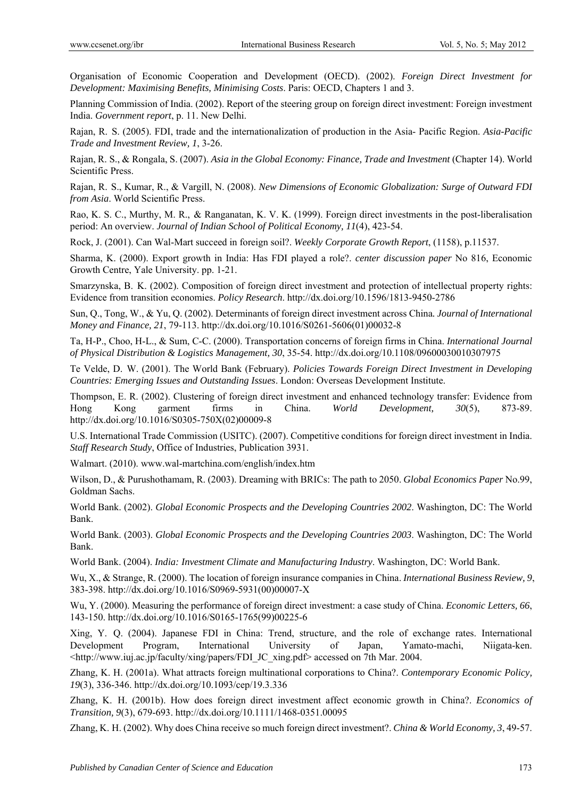Organisation of Economic Cooperation and Development (OECD). (2002). *Foreign Direct Investment for Development: Maximising Benefits, Minimising Costs*. Paris: OECD, Chapters 1 and 3.

Planning Commission of India. (2002). Report of the steering group on foreign direct investment: Foreign investment India. *Government report*, p. 11. New Delhi.

Rajan, R. S. (2005). FDI, trade and the internationalization of production in the Asia- Pacific Region. *Asia-Pacific Trade and Investment Review, 1*, 3-26.

Rajan, R. S., & Rongala, S. (2007). *Asia in the Global Economy: Finance, Trade and Investment* (Chapter 14). World Scientific Press.

Rajan, R. S., Kumar, R., & Vargill, N. (2008). *New Dimensions of Economic Globalization: Surge of Outward FDI from Asia*. World Scientific Press.

Rao, K. S. C., Murthy, M. R., & Ranganatan, K. V. K. (1999). Foreign direct investments in the post-liberalisation period: An overview. *Journal of Indian School of Political Economy, 11*(4), 423-54.

Rock, J. (2001). Can Wal-Mart succeed in foreign soil?. *Weekly Corporate Growth Report*, (1158), p.11537.

Sharma, K. (2000). Export growth in India: Has FDI played a role?. *center discussion paper* No 816, Economic Growth Centre, Yale University. pp. 1-21.

Smarzynska, B. K. (2002). Composition of foreign direct investment and protection of intellectual property rights: Evidence from transition economies. *Policy Research*. http://dx.doi.org/10.1596/1813-9450-2786

Sun, Q., Tong, W., & Yu, Q. (2002). Determinants of foreign direct investment across China*. Journal of International Money and Finance, 21*, 79-113. http://dx.doi.org/10.1016/S0261-5606(01)00032-8

Ta, H-P., Choo, H-L., & Sum, C-C. (2000). Transportation concerns of foreign firms in China. *International Journal of Physical Distribution & Logistics Management, 30*, 35-54. http://dx.doi.org/10.1108/09600030010307975

Te Velde, D. W. (2001). The World Bank (February). *Policies Towards Foreign Direct Investment in Developing Countries: Emerging Issues and Outstanding Issues*. London: Overseas Development Institute.

Thompson, E. R. (2002). Clustering of foreign direct investment and enhanced technology transfer: Evidence from Hong Kong garment firms in China. *World Development, 30*(5), 873-89. http://dx.doi.org/10.1016/S0305-750X(02)00009-8

U.S. International Trade Commission (USITC). (2007). Competitive conditions for foreign direct investment in India. *Staff Research Study*, Office of Industries, Publication 3931.

Walmart. (2010). www.wal-martchina.com/english/index.htm

Wilson, D., & Purushothamam, R. (2003). Dreaming with BRICs: The path to 2050. *Global Economics Paper* No.99, Goldman Sachs.

World Bank. (2002). *Global Economic Prospects and the Developing Countries 2002*. Washington, DC: The World Bank.

World Bank. (2003). *Global Economic Prospects and the Developing Countries 2003*. Washington, DC: The World Bank.

World Bank. (2004). *India: Investment Climate and Manufacturing Industry*. Washington, DC: World Bank.

Wu, X., & Strange, R. (2000). The location of foreign insurance companies in China. *International Business Review, 9*, 383-398. http://dx.doi.org/10.1016/S0969-5931(00)00007-X

Wu, Y. (2000). Measuring the performance of foreign direct investment: a case study of China. *Economic Letters, 66*, 143-150. http://dx.doi.org/10.1016/S0165-1765(99)00225-6

Xing, Y. Q. (2004). Japanese FDI in China: Trend, structure, and the role of exchange rates. International Development Program, International University of Japan, Yamato-machi, Niigata-ken. <http://www.iuj.ac.jp/faculty/xing/papers/FDI\_JC\_xing.pdf> accessed on 7th Mar. 2004.

Zhang, K. H. (2001a). What attracts foreign multinational corporations to China?. *Contemporary Economic Policy, 19*(3), 336-346. http://dx.doi.org/10.1093/cep/19.3.336

Zhang, K. H. (2001b). How does foreign direct investment affect economic growth in China?. *Economics of Transition, 9*(3), 679-693. http://dx.doi.org/10.1111/1468-0351.00095

Zhang, K. H. (2002). Why does China receive so much foreign direct investment?. *China & World Economy, 3*, 49-57.